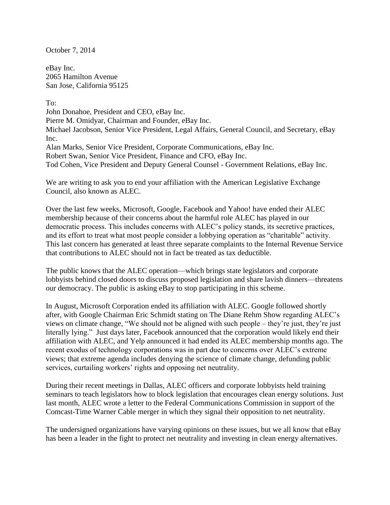October 7, 2014

eBay Inc. 2065 Hamilton Avenue San Jose, California 95125

To: John Donahoe, President and CEO, eBay Inc. Pierre M. Omidyar, Chairman and Founder, eBay Inc. Michael Jacobson, Senior Vice President, Legal Affairs, General Council, and Secretary, eBay Inc. Alan Marks, Senior Vice President, Corporate Communications, eBay Inc. Robert Swan, Senior Vice President, Finance and CFO, eBay Inc. Tod Cohen, Vice President and Deputy General Counsel - Government Relations, eBay Inc.

We are writing to ask you to end your affiliation with the American Legislative Exchange Council, also known as ALEC.

Over the last few weeks, Microsoft, Google, Facebook and Yahoo! have ended their ALEC membership because of their concerns about the harmful role ALEC has played in our democratic process. This includes concerns with ALEC's policy stands, its secretive practices, and its effort to treat what most people consider a lobbying operation as "charitable" activity. This last concern has generated at least three separate complaints to the Internal Revenue Service that contributions to ALEC should not in fact be treated as tax deductible.

The public knows that the ALEC operation—which brings state legislators and corporate lobbyists behind closed doors to discuss proposed legislation and share lavish dinners—threatens our democracy. The public is asking eBay to stop participating in this scheme.

In August, Microsoft Corporation ended its affiliation with ALEC. Google followed shortly after, with Google Chairman Eric Schmidt stating on The Diane Rehm Show regarding ALEC's views on climate change, "We should not be aligned with such people – they're just, they're just literally lying." Just days later, Facebook announced that the corporation would likely end their affiliation with ALEC, and Yelp announced it had ended its ALEC membership months ago. The recent exodus of technology corporations was in part due to concerns over ALEC's extreme views; that extreme agenda includes denying the science of climate change, defunding public services, curtailing workers' rights and opposing net neutrality.

During their recent meetings in Dallas, ALEC officers and corporate lobbyists held training seminars to teach legislators how to block legislation that encourages clean energy solutions. Just last month, ALEC wrote a letter to the Federal Communications Commission in support of the Comcast-Time Warner Cable merger in which they signal their opposition to net neutrality.

The undersigned organizations have varying opinions on these issues, but we all know that eBay has been a leader in the fight to protect net neutrality and investing in clean energy alternatives.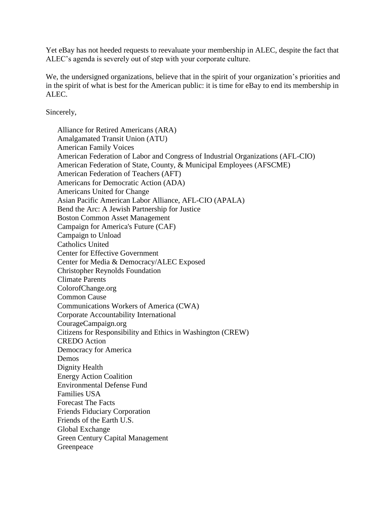Yet eBay has not heeded requests to reevaluate your membership in ALEC, despite the fact that ALEC's agenda is severely out of step with your corporate culture.

We, the undersigned organizations, believe that in the spirit of your organization's priorities and in the spirit of what is best for the American public: it is time for eBay to end its membership in ALEC.

Sincerely,

Alliance for Retired Americans (ARA) Amalgamated Transit Union (ATU) American Family Voices American Federation of Labor and Congress of Industrial Organizations (AFL-CIO) American Federation of State, County, & Municipal Employees (AFSCME) American Federation of Teachers (AFT) Americans for Democratic Action (ADA) Americans United for Change Asian Pacific American Labor Alliance, AFL-CIO (APALA) Bend the Arc: A Jewish Partnership for Justice Boston Common Asset Management Campaign for America's Future (CAF) Campaign to Unload Catholics United Center for Effective Government Center for Media & Democracy/ALEC Exposed Christopher Reynolds Foundation Climate Parents ColorofChange.org Common Cause Communications Workers of America (CWA) Corporate Accountability International CourageCampaign.org Citizens for Responsibility and Ethics in Washington (CREW) CREDO Action Democracy for America Demos Dignity Health Energy Action Coalition Environmental Defense Fund Families USA Forecast The Facts Friends Fiduciary Corporation Friends of the Earth U.S. Global Exchange Green Century Capital Management Greenpeace